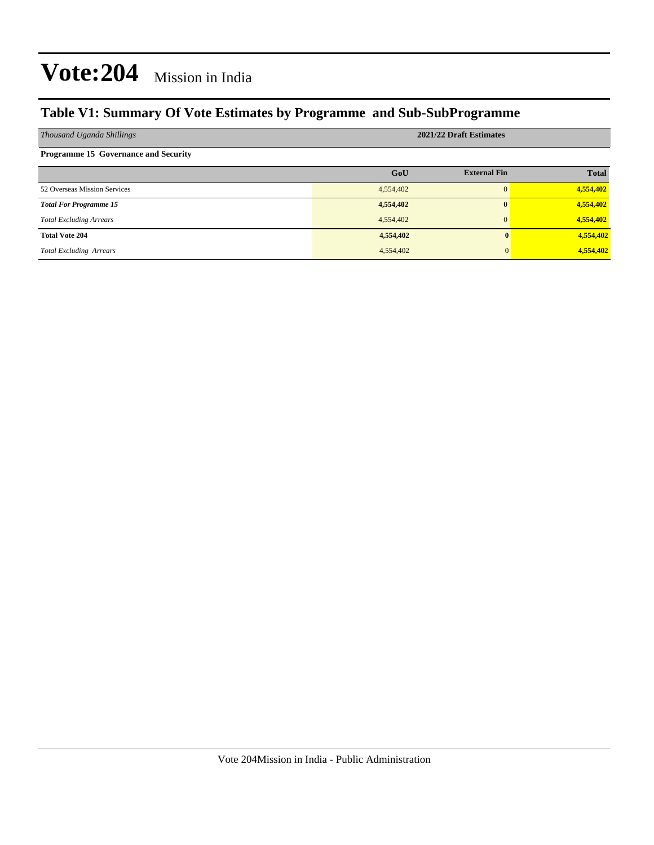## **Table V1: Summary Of Vote Estimates by Programme and Sub-SubProgramme**

| Thousand Uganda Shillings                   | 2021/22 Draft Estimates |                     |              |  |  |  |
|---------------------------------------------|-------------------------|---------------------|--------------|--|--|--|
| <b>Programme 15 Governance and Security</b> |                         |                     |              |  |  |  |
|                                             | GoU                     | <b>External Fin</b> | <b>Total</b> |  |  |  |
| 52 Overseas Mission Services                | 4,554,402               | $\Omega$            | 4,554,402    |  |  |  |
| <b>Total For Programme 15</b>               | 4,554,402               | $\mathbf{0}$        | 4,554,402    |  |  |  |
| <b>Total Excluding Arrears</b>              | 4,554,402               | $\Omega$            | 4,554,402    |  |  |  |
| <b>Total Vote 204</b>                       | 4,554,402               |                     | 4,554,402    |  |  |  |
| <b>Total Excluding Arrears</b>              | 4,554,402               |                     | 4,554,402    |  |  |  |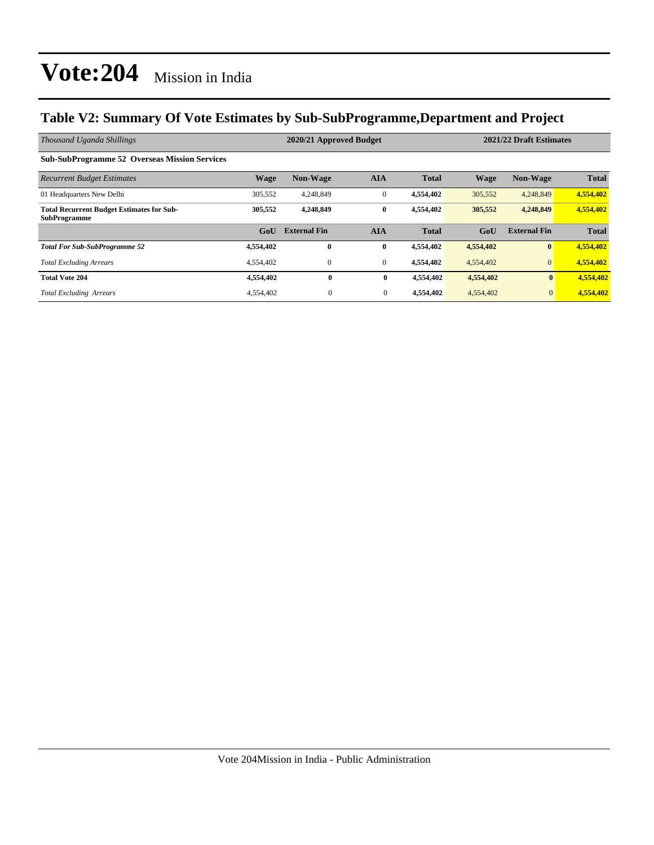## **Table V2: Summary Of Vote Estimates by Sub-SubProgramme,Department and Project**

| Thousand Uganda Shillings                                               |             | 2020/21 Approved Budget |                |              | 2021/22 Draft Estimates |                     |              |
|-------------------------------------------------------------------------|-------------|-------------------------|----------------|--------------|-------------------------|---------------------|--------------|
| <b>Sub-SubProgramme 52 Overseas Mission Services</b>                    |             |                         |                |              |                         |                     |              |
| <b>Recurrent Budget Estimates</b>                                       | <b>Wage</b> | <b>Non-Wage</b>         | <b>AIA</b>     | <b>Total</b> | <b>Wage</b>             | <b>Non-Wage</b>     | <b>Total</b> |
| 01 Headquarters New Delhi                                               | 305,552     | 4,248,849               | $\mathbf{0}$   | 4,554,402    | 305,552                 | 4,248,849           | 4,554,402    |
| <b>Total Recurrent Budget Estimates for Sub-</b><br><b>SubProgramme</b> | 305,552     | 4,248,849               | $\bf{0}$       | 4,554,402    | 305,552                 | 4,248,849           | 4,554,402    |
|                                                                         | GoU         | <b>External Fin</b>     | <b>AIA</b>     | <b>Total</b> | GoU                     | <b>External Fin</b> | <b>Total</b> |
| <b>Total For Sub-SubProgramme 52</b>                                    | 4,554,402   | $\bf{0}$                | $\bf{0}$       | 4,554,402    | 4,554,402               | $\mathbf{0}$        | 4,554,402    |
| <b>Total Excluding Arrears</b>                                          | 4,554,402   | $\mathbf{0}$            | $\overline{0}$ | 4.554.402    | 4,554,402               | $\overline{0}$      | 4,554,402    |
| <b>Total Vote 204</b>                                                   | 4,554,402   | $\bf{0}$                | $\bf{0}$       | 4,554,402    | 4,554,402               | $\bf{0}$            | 4,554,402    |
| <b>Total Excluding Arrears</b>                                          | 4,554,402   | $\overline{0}$          | $\mathbf{0}$   | 4,554,402    | 4,554,402               | $\overline{0}$      | 4,554,402    |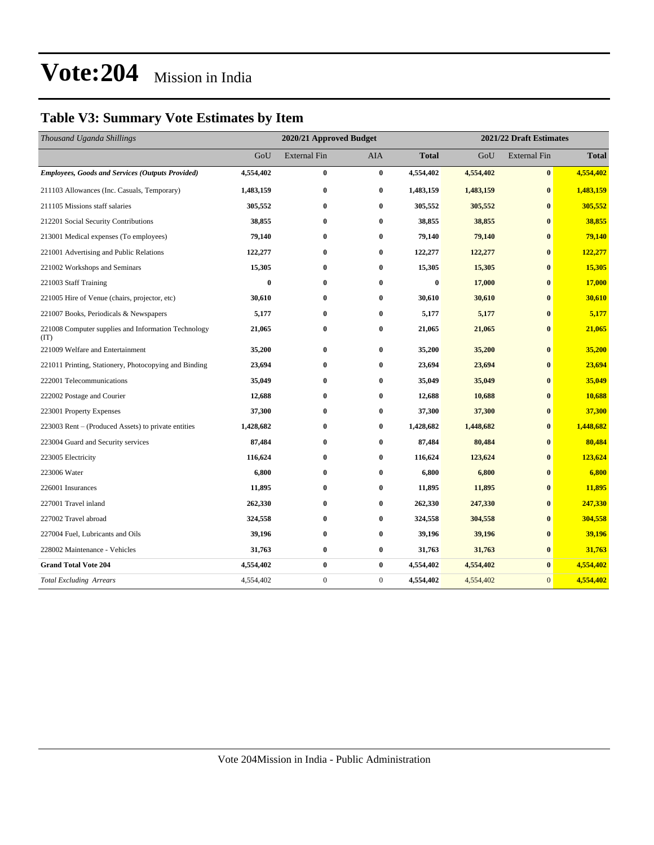## **Table V3: Summary Vote Estimates by Item**

| Thousand Uganda Shillings                                   | 2020/21 Approved Budget |                     |              |              | 2021/22 Draft Estimates |                     |              |  |
|-------------------------------------------------------------|-------------------------|---------------------|--------------|--------------|-------------------------|---------------------|--------------|--|
|                                                             | GoU                     | <b>External Fin</b> | <b>AIA</b>   | <b>Total</b> | GoU                     | <b>External Fin</b> | <b>Total</b> |  |
| <b>Employees, Goods and Services (Outputs Provided)</b>     | 4,554,402               | $\bf{0}$            | $\bf{0}$     | 4,554,402    | 4,554,402               | $\bf{0}$            | 4,554,402    |  |
| 211103 Allowances (Inc. Casuals, Temporary)                 | 1,483,159               | $\bf{0}$            | $\bf{0}$     | 1,483,159    | 1,483,159               | $\bf{0}$            | 1,483,159    |  |
| 211105 Missions staff salaries                              | 305,552                 | $\bf{0}$            | $\bf{0}$     | 305,552      | 305,552                 | $\bf{0}$            | 305,552      |  |
| 212201 Social Security Contributions                        | 38,855                  | 0                   | $\bf{0}$     | 38,855       | 38,855                  | $\bf{0}$            | 38,855       |  |
| 213001 Medical expenses (To employees)                      | 79,140                  | $\bf{0}$            | $\bf{0}$     | 79,140       | 79,140                  | $\bf{0}$            | 79,140       |  |
| 221001 Advertising and Public Relations                     | 122,277                 | $\bf{0}$            | $\bf{0}$     | 122,277      | 122,277                 | $\bf{0}$            | 122,277      |  |
| 221002 Workshops and Seminars                               | 15,305                  | $\bf{0}$            | $\bf{0}$     | 15,305       | 15,305                  | $\bf{0}$            | 15,305       |  |
| 221003 Staff Training                                       | $\bf{0}$                | $\bf{0}$            | $\bf{0}$     | $\bf{0}$     | 17,000                  | $\bf{0}$            | 17,000       |  |
| 221005 Hire of Venue (chairs, projector, etc)               | 30,610                  | $\bf{0}$            | $\bf{0}$     | 30,610       | 30,610                  | $\bf{0}$            | 30,610       |  |
| 221007 Books, Periodicals & Newspapers                      | 5,177                   | 0                   | $\bf{0}$     | 5,177        | 5,177                   | $\bf{0}$            | 5,177        |  |
| 221008 Computer supplies and Information Technology<br>(TT) | 21,065                  | $\bf{0}$            | $\bf{0}$     | 21,065       | 21,065                  | $\mathbf{0}$        | 21,065       |  |
| 221009 Welfare and Entertainment                            | 35,200                  | $\bf{0}$            | $\bf{0}$     | 35,200       | 35,200                  | $\bf{0}$            | 35,200       |  |
| 221011 Printing, Stationery, Photocopying and Binding       | 23,694                  | $\bf{0}$            | $\bf{0}$     | 23,694       | 23,694                  | $\bf{0}$            | 23,694       |  |
| 222001 Telecommunications                                   | 35,049                  | $\bf{0}$            | $\bf{0}$     | 35,049       | 35,049                  | $\bf{0}$            | 35,049       |  |
| 222002 Postage and Courier                                  | 12,688                  | $\bf{0}$            | $\bf{0}$     | 12,688       | 10,688                  | $\mathbf{0}$        | 10,688       |  |
| 223001 Property Expenses                                    | 37,300                  | $\bf{0}$            | $\bf{0}$     | 37,300       | 37,300                  | $\bf{0}$            | 37,300       |  |
| 223003 Rent – (Produced Assets) to private entities         | 1,428,682               | $\bf{0}$            | $\bf{0}$     | 1,428,682    | 1,448,682               | $\bf{0}$            | 1,448,682    |  |
| 223004 Guard and Security services                          | 87,484                  | $\bf{0}$            | $\bf{0}$     | 87,484       | 80,484                  | $\bf{0}$            | 80,484       |  |
| 223005 Electricity                                          | 116,624                 | $\bf{0}$            | $\bf{0}$     | 116,624      | 123,624                 | $\bf{0}$            | 123,624      |  |
| 223006 Water                                                | 6,800                   | $\bf{0}$            | $\bf{0}$     | 6,800        | 6,800                   | $\bf{0}$            | 6,800        |  |
| 226001 Insurances                                           | 11,895                  | $\bf{0}$            | $\bf{0}$     | 11,895       | 11,895                  | $\bf{0}$            | 11,895       |  |
| 227001 Travel inland                                        | 262,330                 | $\bf{0}$            | $\bf{0}$     | 262,330      | 247,330                 | $\bf{0}$            | 247,330      |  |
| 227002 Travel abroad                                        | 324,558                 | $\bf{0}$            | $\bf{0}$     | 324,558      | 304,558                 | $\bf{0}$            | 304,558      |  |
| 227004 Fuel, Lubricants and Oils                            | 39,196                  | $\bf{0}$            | $\bf{0}$     | 39,196       | 39,196                  | $\bf{0}$            | 39,196       |  |
| 228002 Maintenance - Vehicles                               | 31,763                  | $\bf{0}$            | $\bf{0}$     | 31,763       | 31,763                  | $\bf{0}$            | 31,763       |  |
| <b>Grand Total Vote 204</b>                                 | 4,554,402               | $\bf{0}$            | $\bf{0}$     | 4,554,402    | 4,554,402               | $\bf{0}$            | 4,554,402    |  |
| <b>Total Excluding Arrears</b>                              | 4,554,402               | $\boldsymbol{0}$    | $\mathbf{0}$ | 4,554,402    | 4,554,402               | $\overline{0}$      | 4,554,402    |  |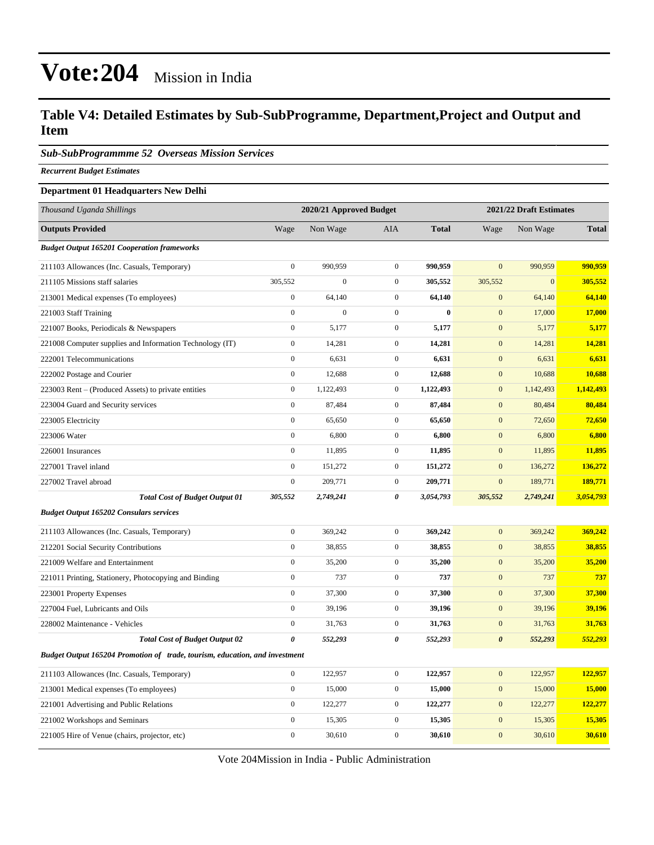### **Table V4: Detailed Estimates by Sub-SubProgramme, Department,Project and Output and Item**

#### *Sub-SubProgrammme 52 Overseas Mission Services*

*Recurrent Budget Estimates*

#### **Department 01 Headquarters New Delhi**

| Thousand Uganda Shillings                                                   | 2020/21 Approved Budget |                |                  |              |                       | 2021/22 Draft Estimates |               |
|-----------------------------------------------------------------------------|-------------------------|----------------|------------------|--------------|-----------------------|-------------------------|---------------|
| <b>Outputs Provided</b>                                                     | Wage                    | Non Wage       | AIA              | <b>Total</b> | Wage                  | Non Wage                | <b>Total</b>  |
| <b>Budget Output 165201 Cooperation frameworks</b>                          |                         |                |                  |              |                       |                         |               |
| 211103 Allowances (Inc. Casuals, Temporary)                                 | $\mathbf{0}$            | 990,959        | $\mathbf{0}$     | 990,959      | $\overline{0}$        | 990,959                 | 990,959       |
| 211105 Missions staff salaries                                              | 305,552                 | $\overline{0}$ | $\mathbf{0}$     | 305,552      | 305,552               | $\mathbf{0}$            | 305,552       |
| 213001 Medical expenses (To employees)                                      | $\boldsymbol{0}$        | 64,140         | $\mathbf{0}$     | 64,140       | $\mathbf{0}$          | 64,140                  | 64,140        |
| 221003 Staff Training                                                       | $\mathbf{0}$            | $\mathbf{0}$   | $\mathbf{0}$     | $\mathbf{0}$ | $\boldsymbol{0}$      | 17,000                  | <b>17,000</b> |
| 221007 Books, Periodicals & Newspapers                                      | $\boldsymbol{0}$        | 5,177          | $\mathbf{0}$     | 5,177        | $\mathbf{0}$          | 5,177                   | 5,177         |
| 221008 Computer supplies and Information Technology (IT)                    | $\boldsymbol{0}$        | 14,281         | $\mathbf{0}$     | 14,281       | $\mathbf{0}$          | 14,281                  | 14,281        |
| 222001 Telecommunications                                                   | $\boldsymbol{0}$        | 6,631          | $\boldsymbol{0}$ | 6,631        | $\mathbf{0}$          | 6,631                   | 6,631         |
| 222002 Postage and Courier                                                  | $\boldsymbol{0}$        | 12,688         | $\boldsymbol{0}$ | 12,688       | $\boldsymbol{0}$      | 10,688                  | 10,688        |
| 223003 Rent – (Produced Assets) to private entities                         | $\overline{0}$          | 1,122,493      | $\mathbf{0}$     | 1,122,493    | $\mathbf{0}$          | 1,142,493               | 1,142,493     |
| 223004 Guard and Security services                                          | $\boldsymbol{0}$        | 87,484         | $\mathbf{0}$     | 87,484       | $\mathbf{0}$          | 80,484                  | 80,484        |
| 223005 Electricity                                                          | $\boldsymbol{0}$        | 65,650         | $\mathbf{0}$     | 65,650       | $\mathbf{0}$          | 72,650                  | 72,650        |
| 223006 Water                                                                | $\boldsymbol{0}$        | 6,800          | $\boldsymbol{0}$ | 6,800        | $\boldsymbol{0}$      | 6,800                   | 6,800         |
| 226001 Insurances                                                           | $\boldsymbol{0}$        | 11,895         | $\mathbf{0}$     | 11,895       | $\mathbf{0}$          | 11,895                  | 11,895        |
| 227001 Travel inland                                                        | $\boldsymbol{0}$        | 151,272        | $\mathbf{0}$     | 151,272      | $\mathbf{0}$          | 136,272                 | 136,272       |
| 227002 Travel abroad                                                        | $\boldsymbol{0}$        | 209,771        | $\mathbf{0}$     | 209,771      | $\mathbf{0}$          | 189,771                 | 189,771       |
| <b>Total Cost of Budget Output 01</b>                                       | 305,552                 | 2,749,241      | 0                | 3,054,793    | 305,552               | 2,749,241               | 3,054,793     |
| <b>Budget Output 165202 Consulars services</b>                              |                         |                |                  |              |                       |                         |               |
| 211103 Allowances (Inc. Casuals, Temporary)                                 | $\overline{0}$          | 369,242        | $\mathbf{0}$     | 369,242      | $\overline{0}$        | 369,242                 | 369,242       |
| 212201 Social Security Contributions                                        | $\boldsymbol{0}$        | 38,855         | $\mathbf{0}$     | 38,855       | $\mathbf{0}$          | 38,855                  | 38,855        |
| 221009 Welfare and Entertainment                                            | $\boldsymbol{0}$        | 35,200         | $\mathbf{0}$     | 35,200       | $\mathbf{0}$          | 35,200                  | 35,200        |
| 221011 Printing, Stationery, Photocopying and Binding                       | $\boldsymbol{0}$        | 737            | $\boldsymbol{0}$ | 737          | $\mathbf{0}$          | 737                     | 737           |
| 223001 Property Expenses                                                    | $\boldsymbol{0}$        | 37,300         | $\boldsymbol{0}$ | 37,300       | $\mathbf{0}$          | 37,300                  | 37,300        |
| 227004 Fuel, Lubricants and Oils                                            | $\boldsymbol{0}$        | 39,196         | $\mathbf{0}$     | 39,196       | $\mathbf{0}$          | 39,196                  | 39,196        |
| 228002 Maintenance - Vehicles                                               | $\boldsymbol{0}$        | 31,763         | $\mathbf{0}$     | 31,763       | $\boldsymbol{0}$      | 31,763                  | 31,763        |
| <b>Total Cost of Budget Output 02</b>                                       | $\pmb{\theta}$          | 552,293        | 0                | 552,293      | $\boldsymbol{\theta}$ | 552,293                 | 552,293       |
| Budget Output 165204 Promotion of trade, tourism, education, and investment |                         |                |                  |              |                       |                         |               |
| 211103 Allowances (Inc. Casuals, Temporary)                                 | $\boldsymbol{0}$        | 122,957        | $\boldsymbol{0}$ | 122,957      | $\boldsymbol{0}$      | 122,957                 | 122,957       |
| 213001 Medical expenses (To employees)                                      | $\boldsymbol{0}$        | 15,000         | $\mathbf{0}$     | 15,000       | $\mathbf{0}$          | 15,000                  | 15,000        |
| 221001 Advertising and Public Relations                                     | $\boldsymbol{0}$        | 122,277        | $\mathbf{0}$     | 122,277      | $\mathbf{0}$          | 122,277                 | 122,277       |
| 221002 Workshops and Seminars                                               | $\boldsymbol{0}$        | 15,305         | $\boldsymbol{0}$ | 15,305       | $\boldsymbol{0}$      | 15,305                  | 15,305        |
| 221005 Hire of Venue (chairs, projector, etc)                               | $\boldsymbol{0}$        | 30,610         | $\mathbf{0}$     | 30,610       | $\mathbf{0}$          | 30,610                  | 30,610        |

Vote 204Mission in India - Public Administration